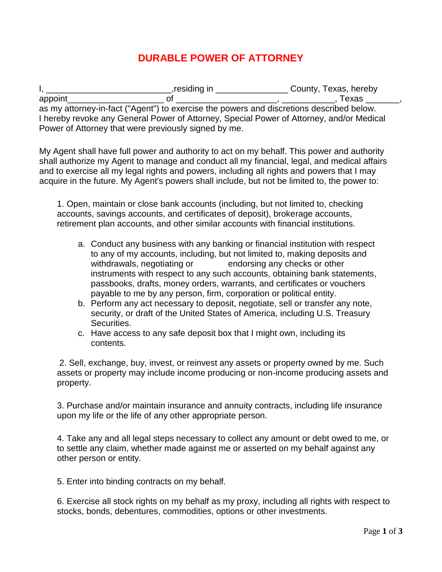## **DURABLE POWER OF ATTORNEY**

I, \_\_\_\_\_\_\_\_\_\_\_\_\_\_\_\_\_\_\_\_\_\_\_\_\_\_,residing in \_\_\_\_\_\_\_\_\_\_\_\_\_\_\_ County, Texas, hereby appoint\_\_\_\_\_\_\_\_\_\_\_\_\_\_\_\_\_\_\_\_ of \_\_\_\_\_\_\_\_\_\_\_\_\_\_\_\_\_\_\_\_\_, \_\_\_\_\_\_\_\_\_\_\_, Texas \_\_\_\_\_\_\_, as my attorney-in-fact ("Agent") to exercise the powers and discretions described below. I hereby revoke any General Power of Attorney, Special Power of Attorney, and/or Medical Power of Attorney that were previously signed by me.

My Agent shall have full power and authority to act on my behalf. This power and authority shall authorize my Agent to manage and conduct all my financial, legal, and medical affairs and to exercise all my legal rights and powers, including all rights and powers that I may acquire in the future. My Agent's powers shall include, but not be limited to, the power to:

1. Open, maintain or close bank accounts (including, but not limited to, checking accounts, savings accounts, and certificates of deposit), brokerage accounts, retirement plan accounts, and other similar accounts with financial institutions.

- a. Conduct any business with any banking or financial institution with respect to any of my accounts, including, but not limited to, making deposits and withdrawals, negotiating or endorsing any checks or other instruments with respect to any such accounts, obtaining bank statements, passbooks, drafts, money orders, warrants, and certificates or vouchers payable to me by any person, firm, corporation or political entity.
- b. Perform any act necessary to deposit, negotiate, sell or transfer any note, security, or draft of the United States of America, including U.S. Treasury Securities.
- c. Have access to any safe deposit box that I might own, including its contents.

2. Sell, exchange, buy, invest, or reinvest any assets or property owned by me. Such assets or property may include income producing or non-income producing assets and property.

3. Purchase and/or maintain insurance and annuity contracts, including life insurance upon my life or the life of any other appropriate person.

4. Take any and all legal steps necessary to collect any amount or debt owed to me, or to settle any claim, whether made against me or asserted on my behalf against any other person or entity.

5. Enter into binding contracts on my behalf.

6. Exercise all stock rights on my behalf as my proxy, including all rights with respect to stocks, bonds, debentures, commodities, options or other investments.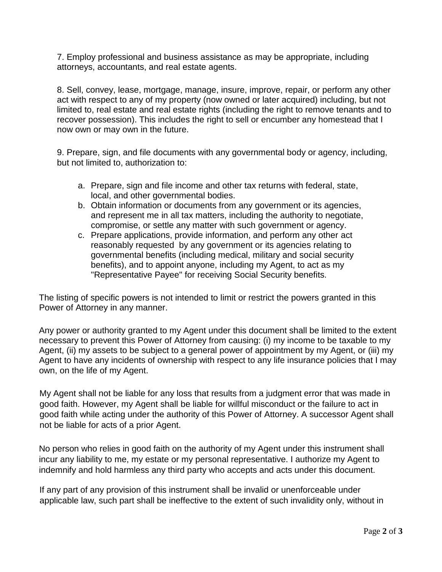7. Employ professional and business assistance as may be appropriate, including attorneys, accountants, and real estate agents.

8. Sell, convey, lease, mortgage, manage, insure, improve, repair, or perform any other act with respect to any of my property (now owned or later acquired) including, but not limited to, real estate and real estate rights (including the right to remove tenants and to recover possession). This includes the right to sell or encumber any homestead that I now own or may own in the future.

9. Prepare, sign, and file documents with any governmental body or agency, including, but not limited to, authorization to:

- a. Prepare, sign and file income and other tax returns with federal, state, local, and other governmental bodies.
- b. Obtain information or documents from any government or its agencies, and represent me in all tax matters, including the authority to negotiate, compromise, or settle any matter with such government or agency.
- c. Prepare applications, provide information, and perform any other act reasonably requested by any government or its agencies relating to governmental benefits (including medical, military and social security benefits), and to appoint anyone, including my Agent, to act as my "Representative Payee" for receiving Social Security benefits.

The listing of specific powers is not intended to limit or restrict the powers granted in this Power of Attorney in any manner.

Any power or authority granted to my Agent under this document shall be limited to the extent necessary to prevent this Power of Attorney from causing: (i) my income to be taxable to my Agent, (ii) my assets to be subject to a general power of appointment by my Agent, or (iii) my Agent to have any incidents of ownership with respect to any life insurance policies that I may own, on the life of my Agent.

My Agent shall not be liable for any loss that results from a judgment error that was made in good faith. However, my Agent shall be liable for willful misconduct or the failure to act in good faith while acting under the authority of this Power of Attorney. A successor Agent shall not be liable for acts of a prior Agent.

No person who relies in good faith on the authority of my Agent under this instrument shall incur any liability to me, my estate or my personal representative. I authorize my Agent to indemnify and hold harmless any third party who accepts and acts under this document.

If any part of any provision of this instrument shall be invalid or unenforceable under applicable law, such part shall be ineffective to the extent of such invalidity only, without in